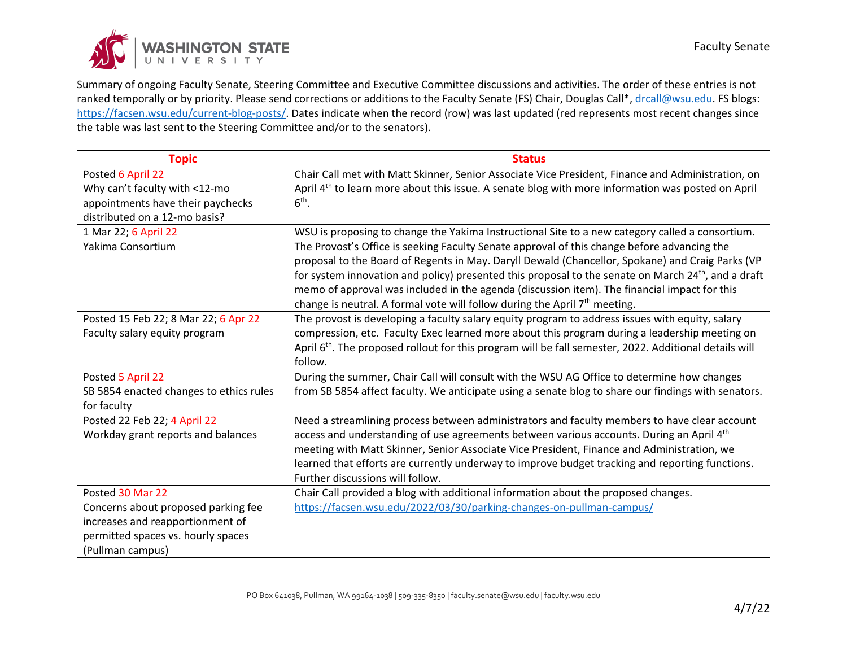

Summary of ongoing Faculty Senate, Steering Committee and Executive Committee discussions and activities. The order of these entries is not ranked temporally or by priority. Please send corrections or additions to the Faculty Senate (FS) Chair, Douglas Call\*, [drcall@wsu.edu.](mailto:drcall@wsu.edu) FS blogs: [https://facsen.wsu.edu/current-blog-posts/.](https://facsen.wsu.edu/current-blog-posts/) Dates indicate when the record (row) was last updated (red represents most recent changes since the table was last sent to the Steering Committee and/or to the senators).

| <b>Topic</b>                            | <b>Status</b>                                                                                                      |
|-----------------------------------------|--------------------------------------------------------------------------------------------------------------------|
| Posted 6 April 22                       | Chair Call met with Matt Skinner, Senior Associate Vice President, Finance and Administration, on                  |
| Why can't faculty with <12-mo           | April 4 <sup>th</sup> to learn more about this issue. A senate blog with more information was posted on April      |
| appointments have their paychecks       | $6th$ .                                                                                                            |
| distributed on a 12-mo basis?           |                                                                                                                    |
| 1 Mar 22; 6 April 22                    | WSU is proposing to change the Yakima Instructional Site to a new category called a consortium.                    |
| Yakima Consortium                       | The Provost's Office is seeking Faculty Senate approval of this change before advancing the                        |
|                                         | proposal to the Board of Regents in May. Daryll Dewald (Chancellor, Spokane) and Craig Parks (VP                   |
|                                         | for system innovation and policy) presented this proposal to the senate on March 24 <sup>th</sup> , and a draft    |
|                                         | memo of approval was included in the agenda (discussion item). The financial impact for this                       |
|                                         | change is neutral. A formal vote will follow during the April 7 <sup>th</sup> meeting.                             |
| Posted 15 Feb 22; 8 Mar 22; 6 Apr 22    | The provost is developing a faculty salary equity program to address issues with equity, salary                    |
| Faculty salary equity program           | compression, etc. Faculty Exec learned more about this program during a leadership meeting on                      |
|                                         | April 6 <sup>th</sup> . The proposed rollout for this program will be fall semester, 2022. Additional details will |
|                                         | follow.                                                                                                            |
| Posted 5 April 22                       | During the summer, Chair Call will consult with the WSU AG Office to determine how changes                         |
| SB 5854 enacted changes to ethics rules | from SB 5854 affect faculty. We anticipate using a senate blog to share our findings with senators.                |
| for faculty                             |                                                                                                                    |
| Posted 22 Feb 22; 4 April 22            | Need a streamlining process between administrators and faculty members to have clear account                       |
| Workday grant reports and balances      | access and understanding of use agreements between various accounts. During an April 4 <sup>th</sup>               |
|                                         | meeting with Matt Skinner, Senior Associate Vice President, Finance and Administration, we                         |
|                                         | learned that efforts are currently underway to improve budget tracking and reporting functions.                    |
|                                         | Further discussions will follow.                                                                                   |
| Posted 30 Mar 22                        | Chair Call provided a blog with additional information about the proposed changes.                                 |
| Concerns about proposed parking fee     | https://facsen.wsu.edu/2022/03/30/parking-changes-on-pullman-campus/                                               |
| increases and reapportionment of        |                                                                                                                    |
| permitted spaces vs. hourly spaces      |                                                                                                                    |
| (Pullman campus)                        |                                                                                                                    |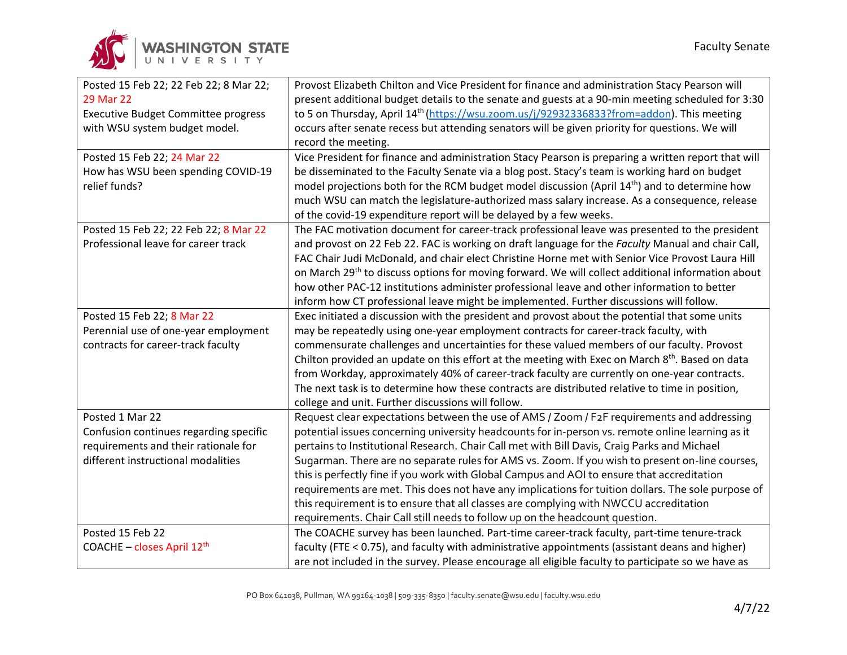| Posted 15 Feb 22; 22 Feb 22; 8 Mar 22;     | Provost Elizabeth Chilton and Vice President for finance and administration Stacy Pearson will                |
|--------------------------------------------|---------------------------------------------------------------------------------------------------------------|
| 29 Mar 22                                  | present additional budget details to the senate and guests at a 90-min meeting scheduled for 3:30             |
| <b>Executive Budget Committee progress</b> | to 5 on Thursday, April 14 <sup>th</sup> (https://wsu.zoom.us/j/92932336833?from=addon). This meeting         |
| with WSU system budget model.              | occurs after senate recess but attending senators will be given priority for questions. We will               |
|                                            | record the meeting.                                                                                           |
| Posted 15 Feb 22; 24 Mar 22                | Vice President for finance and administration Stacy Pearson is preparing a written report that will           |
| How has WSU been spending COVID-19         | be disseminated to the Faculty Senate via a blog post. Stacy's team is working hard on budget                 |
| relief funds?                              | model projections both for the RCM budget model discussion (April 14 <sup>th</sup> ) and to determine how     |
|                                            | much WSU can match the legislature-authorized mass salary increase. As a consequence, release                 |
|                                            | of the covid-19 expenditure report will be delayed by a few weeks.                                            |
| Posted 15 Feb 22; 22 Feb 22; 8 Mar 22      | The FAC motivation document for career-track professional leave was presented to the president                |
| Professional leave for career track        | and provost on 22 Feb 22. FAC is working on draft language for the Faculty Manual and chair Call,             |
|                                            | FAC Chair Judi McDonald, and chair elect Christine Horne met with Senior Vice Provost Laura Hill              |
|                                            | on March 29 <sup>th</sup> to discuss options for moving forward. We will collect additional information about |
|                                            | how other PAC-12 institutions administer professional leave and other information to better                   |
|                                            | inform how CT professional leave might be implemented. Further discussions will follow.                       |
| Posted 15 Feb 22; 8 Mar 22                 | Exec initiated a discussion with the president and provost about the potential that some units                |
| Perennial use of one-year employment       | may be repeatedly using one-year employment contracts for career-track faculty, with                          |
| contracts for career-track faculty         | commensurate challenges and uncertainties for these valued members of our faculty. Provost                    |
|                                            | Chilton provided an update on this effort at the meeting with Exec on March 8 <sup>th</sup> . Based on data   |
|                                            | from Workday, approximately 40% of career-track faculty are currently on one-year contracts.                  |
|                                            | The next task is to determine how these contracts are distributed relative to time in position,               |
|                                            | college and unit. Further discussions will follow.                                                            |
| Posted 1 Mar 22                            | Request clear expectations between the use of AMS / Zoom / F2F requirements and addressing                    |
| Confusion continues regarding specific     | potential issues concerning university headcounts for in-person vs. remote online learning as it              |
| requirements and their rationale for       | pertains to Institutional Research. Chair Call met with Bill Davis, Craig Parks and Michael                   |
| different instructional modalities         | Sugarman. There are no separate rules for AMS vs. Zoom. If you wish to present on-line courses,               |
|                                            | this is perfectly fine if you work with Global Campus and AOI to ensure that accreditation                    |
|                                            | requirements are met. This does not have any implications for tuition dollars. The sole purpose of            |
|                                            | this requirement is to ensure that all classes are complying with NWCCU accreditation                         |
|                                            | requirements. Chair Call still needs to follow up on the headcount question.                                  |
| Posted 15 Feb 22                           | The COACHE survey has been launched. Part-time career-track faculty, part-time tenure-track                   |
| COACHE - closes April 12 <sup>th</sup>     | faculty (FTE < 0.75), and faculty with administrative appointments (assistant deans and higher)               |
|                                            | are not included in the survey. Please encourage all eligible faculty to participate so we have as            |

WASHINGTON STATE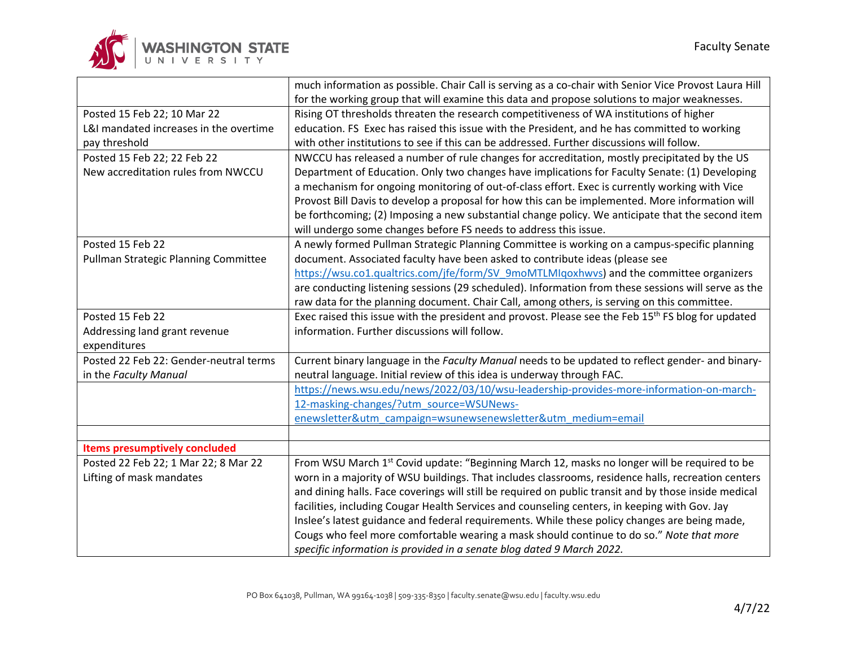

|                                        | much information as possible. Chair Call is serving as a co-chair with Senior Vice Provost Laura Hill          |
|----------------------------------------|----------------------------------------------------------------------------------------------------------------|
|                                        | for the working group that will examine this data and propose solutions to major weaknesses.                   |
| Posted 15 Feb 22; 10 Mar 22            | Rising OT thresholds threaten the research competitiveness of WA institutions of higher                        |
| L&I mandated increases in the overtime | education. FS Exec has raised this issue with the President, and he has committed to working                   |
| pay threshold                          | with other institutions to see if this can be addressed. Further discussions will follow.                      |
| Posted 15 Feb 22; 22 Feb 22            | NWCCU has released a number of rule changes for accreditation, mostly precipitated by the US                   |
| New accreditation rules from NWCCU     | Department of Education. Only two changes have implications for Faculty Senate: (1) Developing                 |
|                                        | a mechanism for ongoing monitoring of out-of-class effort. Exec is currently working with Vice                 |
|                                        | Provost Bill Davis to develop a proposal for how this can be implemented. More information will                |
|                                        | be forthcoming; (2) Imposing a new substantial change policy. We anticipate that the second item               |
|                                        | will undergo some changes before FS needs to address this issue.                                               |
| Posted 15 Feb 22                       | A newly formed Pullman Strategic Planning Committee is working on a campus-specific planning                   |
| Pullman Strategic Planning Committee   | document. Associated faculty have been asked to contribute ideas (please see                                   |
|                                        | https://wsu.co1.qualtrics.com/jfe/form/SV 9moMTLMIqoxhwvs) and the committee organizers                        |
|                                        | are conducting listening sessions (29 scheduled). Information from these sessions will serve as the            |
|                                        | raw data for the planning document. Chair Call, among others, is serving on this committee.                    |
| Posted 15 Feb 22                       | Exec raised this issue with the president and provost. Please see the Feb 15 <sup>th</sup> FS blog for updated |
| Addressing land grant revenue          | information. Further discussions will follow.                                                                  |
| expenditures                           |                                                                                                                |
| Posted 22 Feb 22: Gender-neutral terms | Current binary language in the Faculty Manual needs to be updated to reflect gender- and binary-               |
| in the Faculty Manual                  | neutral language. Initial review of this idea is underway through FAC.                                         |
|                                        | https://news.wsu.edu/news/2022/03/10/wsu-leadership-provides-more-information-on-march-                        |
|                                        | 12-masking-changes/?utm_source=WSUNews-                                                                        |
|                                        | enewsletter&utm_campaign=wsunewsenewsletter&utm_medium=email                                                   |
|                                        |                                                                                                                |
| <b>Items presumptively concluded</b>   |                                                                                                                |
| Posted 22 Feb 22; 1 Mar 22; 8 Mar 22   | From WSU March 1st Covid update: "Beginning March 12, masks no longer will be required to be                   |
| Lifting of mask mandates               | worn in a majority of WSU buildings. That includes classrooms, residence halls, recreation centers             |
|                                        | and dining halls. Face coverings will still be required on public transit and by those inside medical          |
|                                        | facilities, including Cougar Health Services and counseling centers, in keeping with Gov. Jay                  |
|                                        | Inslee's latest guidance and federal requirements. While these policy changes are being made,                  |
|                                        | Cougs who feel more comfortable wearing a mask should continue to do so." Note that more                       |
|                                        | specific information is provided in a senate blog dated 9 March 2022.                                          |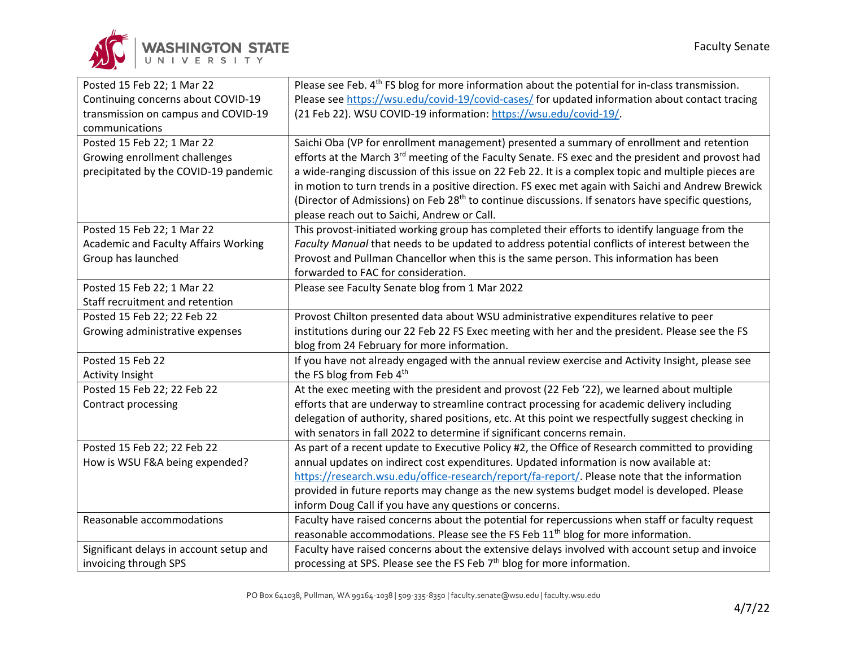

| Posted 15 Feb 22; 1 Mar 22                  | Please see Feb. 4 <sup>th</sup> FS blog for more information about the potential for in-class transmission.    |
|---------------------------------------------|----------------------------------------------------------------------------------------------------------------|
| Continuing concerns about COVID-19          | Please see https://wsu.edu/covid-19/covid-cases/ for updated information about contact tracing                 |
| transmission on campus and COVID-19         | (21 Feb 22). WSU COVID-19 information: https://wsu.edu/covid-19/.                                              |
| communications                              |                                                                                                                |
| Posted 15 Feb 22; 1 Mar 22                  | Saichi Oba (VP for enrollment management) presented a summary of enrollment and retention                      |
| Growing enrollment challenges               | efforts at the March 3 <sup>rd</sup> meeting of the Faculty Senate. FS exec and the president and provost had  |
| precipitated by the COVID-19 pandemic       | a wide-ranging discussion of this issue on 22 Feb 22. It is a complex topic and multiple pieces are            |
|                                             | in motion to turn trends in a positive direction. FS exec met again with Saichi and Andrew Brewick             |
|                                             | (Director of Admissions) on Feb 28 <sup>th</sup> to continue discussions. If senators have specific questions, |
|                                             | please reach out to Saichi, Andrew or Call.                                                                    |
| Posted 15 Feb 22; 1 Mar 22                  | This provost-initiated working group has completed their efforts to identify language from the                 |
| <b>Academic and Faculty Affairs Working</b> | Faculty Manual that needs to be updated to address potential conflicts of interest between the                 |
| Group has launched                          | Provost and Pullman Chancellor when this is the same person. This information has been                         |
|                                             | forwarded to FAC for consideration.                                                                            |
| Posted 15 Feb 22; 1 Mar 22                  | Please see Faculty Senate blog from 1 Mar 2022                                                                 |
| Staff recruitment and retention             |                                                                                                                |
| Posted 15 Feb 22; 22 Feb 22                 | Provost Chilton presented data about WSU administrative expenditures relative to peer                          |
| Growing administrative expenses             | institutions during our 22 Feb 22 FS Exec meeting with her and the president. Please see the FS                |
|                                             | blog from 24 February for more information.                                                                    |
| Posted 15 Feb 22                            | If you have not already engaged with the annual review exercise and Activity Insight, please see               |
| Activity Insight                            | the FS blog from Feb 4th                                                                                       |
| Posted 15 Feb 22; 22 Feb 22                 | At the exec meeting with the president and provost (22 Feb '22), we learned about multiple                     |
| Contract processing                         | efforts that are underway to streamline contract processing for academic delivery including                    |
|                                             | delegation of authority, shared positions, etc. At this point we respectfully suggest checking in              |
|                                             | with senators in fall 2022 to determine if significant concerns remain.                                        |
| Posted 15 Feb 22; 22 Feb 22                 | As part of a recent update to Executive Policy #2, the Office of Research committed to providing               |
| How is WSU F&A being expended?              | annual updates on indirect cost expenditures. Updated information is now available at:                         |
|                                             | https://research.wsu.edu/office-research/report/fa-report/. Please note that the information                   |
|                                             | provided in future reports may change as the new systems budget model is developed. Please                     |
|                                             | inform Doug Call if you have any questions or concerns.                                                        |
| Reasonable accommodations                   | Faculty have raised concerns about the potential for repercussions when staff or faculty request               |
|                                             | reasonable accommodations. Please see the FS Feb 11 <sup>th</sup> blog for more information.                   |
| Significant delays in account setup and     | Faculty have raised concerns about the extensive delays involved with account setup and invoice                |
| invoicing through SPS                       | processing at SPS. Please see the FS Feb 7 <sup>th</sup> blog for more information.                            |